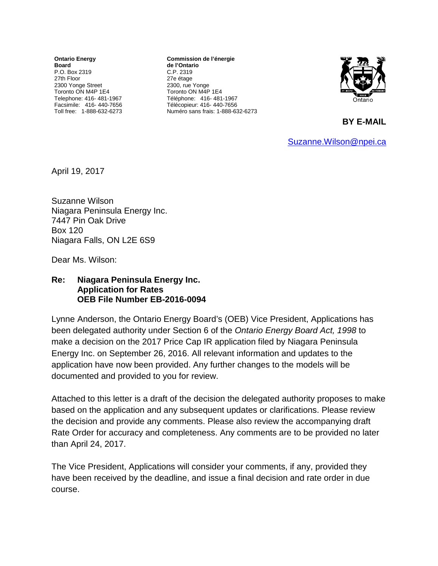**Ontario Energy Board** P.O. Box 2319 27th Floor 2300 Yonge Street Toronto ON M4P 1E4 Telephone: 416- 481-1967 Facsimile: 416- 440-7656 Toll free: 1-888-632-6273

**Commission de l'énergie de l'Ontario** C.P. 2319 27e étage 2300, rue Yonge Toronto ON M4P 1E4 Téléphone: 416- 481-1967 Télécopieur: 416- 440-7656 Numéro sans frais: 1-888-632-6273



**BY E-MAIL** 

[Suzanne.Wilson@npei.ca](mailto:Suzanne.Wilson@npei.ca)

April 19, 2017

Suzanne Wilson Niagara Peninsula Energy Inc. 7447 Pin Oak Drive Box 120 Niagara Falls, ON L2E 6S9

Dear Ms. Wilson:

## **Re: Niagara Peninsula Energy Inc. Application for Rates OEB File Number EB-2016-0094**

Lynne Anderson, the Ontario Energy Board's (OEB) Vice President, Applications has been delegated authority under Section 6 of the *Ontario Energy Board Act, 1998* to make a decision on the 2017 Price Cap IR application filed by Niagara Peninsula Energy Inc. on September 26, 2016. All relevant information and updates to the application have now been provided. Any further changes to the models will be documented and provided to you for review.

Attached to this letter is a draft of the decision the delegated authority proposes to make based on the application and any subsequent updates or clarifications. Please review the decision and provide any comments. Please also review the accompanying draft Rate Order for accuracy and completeness. Any comments are to be provided no later than April 24, 2017.

The Vice President, Applications will consider your comments, if any, provided they have been received by the deadline, and issue a final decision and rate order in due course.